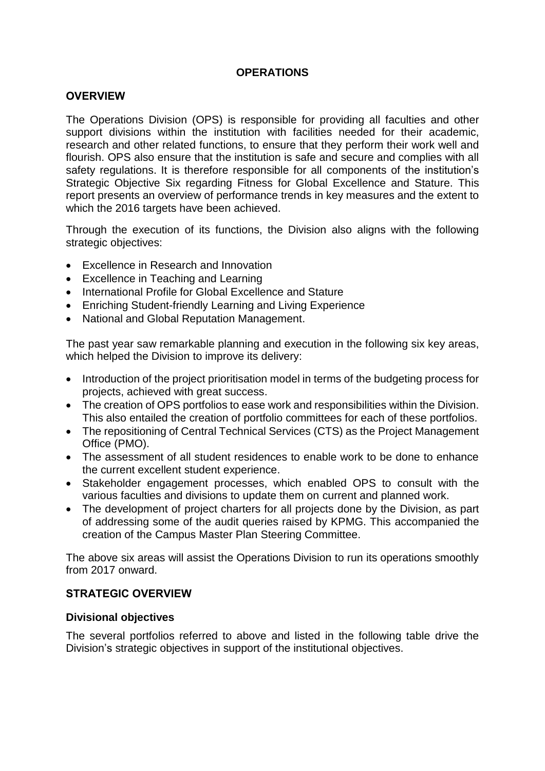# **OPERATIONS**

#### **OVERVIEW**

The Operations Division (OPS) is responsible for providing all faculties and other support divisions within the institution with facilities needed for their academic, research and other related functions, to ensure that they perform their work well and flourish. OPS also ensure that the institution is safe and secure and complies with all safety regulations. It is therefore responsible for all components of the institution's Strategic Objective Six regarding Fitness for Global Excellence and Stature. This report presents an overview of performance trends in key measures and the extent to which the 2016 targets have been achieved.

Through the execution of its functions, the Division also aligns with the following strategic objectives:

- Excellence in Research and Innovation
- Excellence in Teaching and Learning
- International Profile for Global Excellence and Stature
- Enriching Student-friendly Learning and Living Experience
- National and Global Reputation Management.

The past year saw remarkable planning and execution in the following six key areas, which helped the Division to improve its delivery:

- Introduction of the project prioritisation model in terms of the budgeting process for projects, achieved with great success.
- The creation of OPS portfolios to ease work and responsibilities within the Division. This also entailed the creation of portfolio committees for each of these portfolios.
- The repositioning of Central Technical Services (CTS) as the Project Management Office (PMO).
- The assessment of all student residences to enable work to be done to enhance the current excellent student experience.
- Stakeholder engagement processes, which enabled OPS to consult with the various faculties and divisions to update them on current and planned work.
- The development of project charters for all projects done by the Division, as part of addressing some of the audit queries raised by KPMG. This accompanied the creation of the Campus Master Plan Steering Committee.

The above six areas will assist the Operations Division to run its operations smoothly from 2017 onward.

#### **STRATEGIC OVERVIEW**

#### **Divisional objectives**

The several portfolios referred to above and listed in the following table drive the Division's strategic objectives in support of the institutional objectives.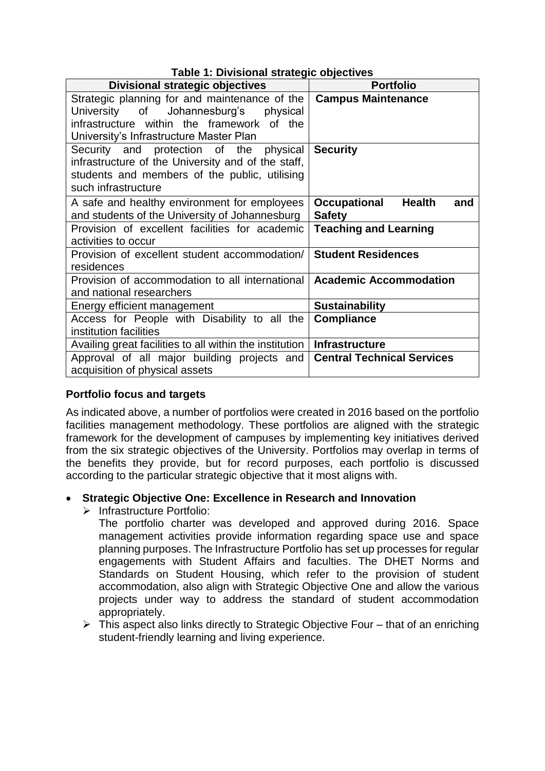| Table 1: Divisional strategic objectives                                                                                                                                        |                                                              |  |  |  |  |
|---------------------------------------------------------------------------------------------------------------------------------------------------------------------------------|--------------------------------------------------------------|--|--|--|--|
| <b>Divisional strategic objectives</b>                                                                                                                                          | <b>Portfolio</b>                                             |  |  |  |  |
| Strategic planning for and maintenance of the<br>University of Johannesburg's physical<br>infrastructure within the framework of the<br>University's Infrastructure Master Plan | <b>Campus Maintenance</b>                                    |  |  |  |  |
| Security and protection of the physical<br>infrastructure of the University and of the staff,<br>students and members of the public, utilising<br>such infrastructure           | <b>Security</b>                                              |  |  |  |  |
| A safe and healthy environment for employees<br>and students of the University of Johannesburg                                                                                  | <b>Health</b><br><b>Occupational</b><br>and<br><b>Safety</b> |  |  |  |  |
| Provision of excellent facilities for academic<br>activities to occur                                                                                                           | <b>Teaching and Learning</b>                                 |  |  |  |  |
| Provision of excellent student accommodation/<br>residences                                                                                                                     | <b>Student Residences</b>                                    |  |  |  |  |
| Provision of accommodation to all international<br>and national researchers                                                                                                     | <b>Academic Accommodation</b>                                |  |  |  |  |
| Energy efficient management                                                                                                                                                     | <b>Sustainability</b>                                        |  |  |  |  |
| Access for People with Disability to all the<br>institution facilities                                                                                                          | <b>Compliance</b>                                            |  |  |  |  |
| Availing great facilities to all within the institution                                                                                                                         | <b>Infrastructure</b>                                        |  |  |  |  |
| Approval of all major building projects and<br>acquisition of physical assets                                                                                                   | <b>Central Technical Services</b>                            |  |  |  |  |

# **Portfolio focus and targets**

As indicated above, a number of portfolios were created in 2016 based on the portfolio facilities management methodology. These portfolios are aligned with the strategic framework for the development of campuses by implementing key initiatives derived from the six strategic objectives of the University. Portfolios may overlap in terms of the benefits they provide, but for record purposes, each portfolio is discussed according to the particular strategic objective that it most aligns with.

# **Strategic Objective One: Excellence in Research and Innovation**

 $\triangleright$  Infrastructure Portfolio:

The portfolio charter was developed and approved during 2016. Space management activities provide information regarding space use and space planning purposes. The Infrastructure Portfolio has set up processes for regular engagements with Student Affairs and faculties. The DHET Norms and Standards on Student Housing, which refer to the provision of student accommodation, also align with Strategic Objective One and allow the various projects under way to address the standard of student accommodation appropriately.

 $\triangleright$  This aspect also links directly to Strategic Objective Four – that of an enriching student-friendly learning and living experience.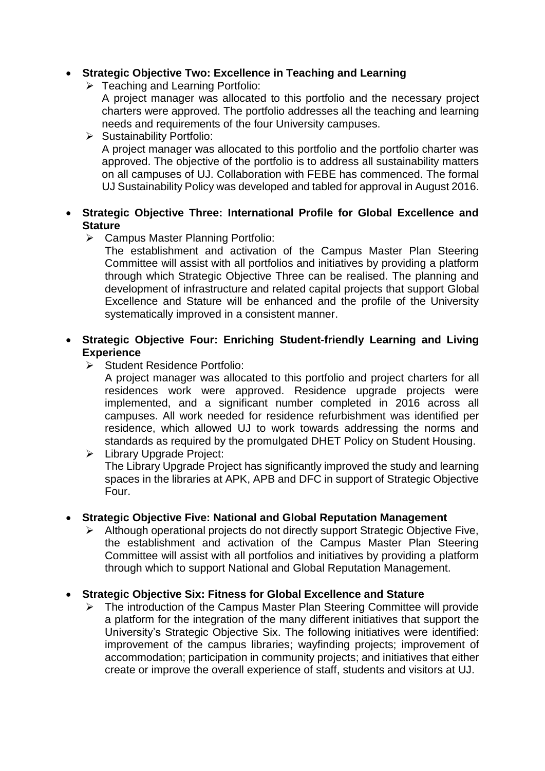# **Strategic Objective Two: Excellence in Teaching and Learning**

Teaching and Learning Portfolio:

A project manager was allocated to this portfolio and the necessary project charters were approved. The portfolio addresses all the teaching and learning needs and requirements of the four University campuses.

 $\triangleright$  Sustainability Portfolio: A project manager was allocated to this portfolio and the portfolio charter was approved. The objective of the portfolio is to address all sustainability matters on all campuses of UJ. Collaboration with FEBE has commenced. The formal UJ Sustainability Policy was developed and tabled for approval in August 2016.

#### **Strategic Objective Three: International Profile for Global Excellence and Stature**

Campus Master Planning Portfolio:

The establishment and activation of the Campus Master Plan Steering Committee will assist with all portfolios and initiatives by providing a platform through which Strategic Objective Three can be realised. The planning and development of infrastructure and related capital projects that support Global Excellence and Stature will be enhanced and the profile of the University systematically improved in a consistent manner.

# **Strategic Objective Four: Enriching Student-friendly Learning and Living Experience**

Student Residence Portfolio:

A project manager was allocated to this portfolio and project charters for all residences work were approved. Residence upgrade projects were implemented, and a significant number completed in 2016 across all campuses. All work needed for residence refurbishment was identified per residence, which allowed UJ to work towards addressing the norms and standards as required by the promulgated DHET Policy on Student Housing.

**EXECUTE:** Library Upgrade Project: The Library Upgrade Project has significantly improved the study and learning spaces in the libraries at APK, APB and DFC in support of Strategic Objective Four.

#### **Strategic Objective Five: National and Global Reputation Management**

 Although operational projects do not directly support Strategic Objective Five, the establishment and activation of the Campus Master Plan Steering Committee will assist with all portfolios and initiatives by providing a platform through which to support National and Global Reputation Management.

#### **Strategic Objective Six: Fitness for Global Excellence and Stature**

 $\triangleright$  The introduction of the Campus Master Plan Steering Committee will provide a platform for the integration of the many different initiatives that support the University's Strategic Objective Six. The following initiatives were identified: improvement of the campus libraries; wayfinding projects; improvement of accommodation; participation in community projects; and initiatives that either create or improve the overall experience of staff, students and visitors at UJ.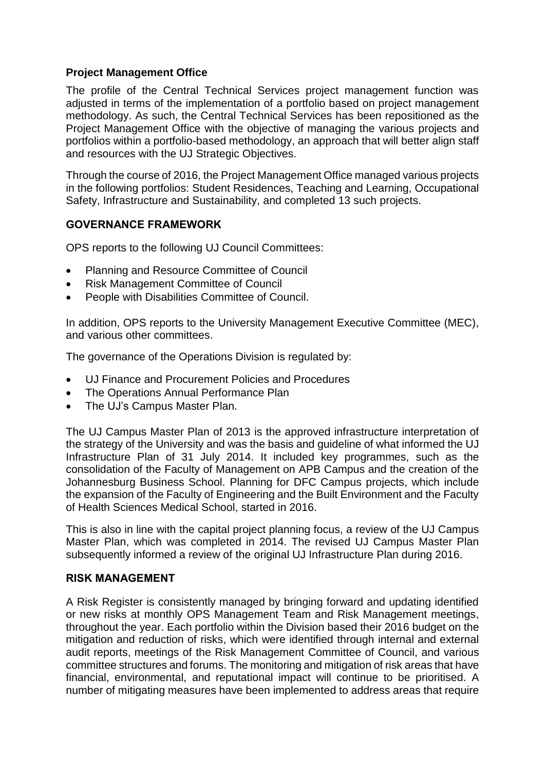# **Project Management Office**

The profile of the Central Technical Services project management function was adjusted in terms of the implementation of a portfolio based on project management methodology. As such, the Central Technical Services has been repositioned as the Project Management Office with the objective of managing the various projects and portfolios within a portfolio-based methodology, an approach that will better align staff and resources with the UJ Strategic Objectives.

Through the course of 2016, the Project Management Office managed various projects in the following portfolios: Student Residences, Teaching and Learning, Occupational Safety, Infrastructure and Sustainability, and completed 13 such projects.

# **GOVERNANCE FRAMEWORK**

OPS reports to the following UJ Council Committees:

- Planning and Resource Committee of Council
- Risk Management Committee of Council
- People with Disabilities Committee of Council.

In addition, OPS reports to the University Management Executive Committee (MEC), and various other committees.

The governance of the Operations Division is regulated by:

- UJ Finance and Procurement Policies and Procedures
- The Operations Annual Performance Plan
- The UJ's Campus Master Plan.

The UJ Campus Master Plan of 2013 is the approved infrastructure interpretation of the strategy of the University and was the basis and guideline of what informed the UJ Infrastructure Plan of 31 July 2014. It included key programmes, such as the consolidation of the Faculty of Management on APB Campus and the creation of the Johannesburg Business School. Planning for DFC Campus projects, which include the expansion of the Faculty of Engineering and the Built Environment and the Faculty of Health Sciences Medical School, started in 2016.

This is also in line with the capital project planning focus, a review of the UJ Campus Master Plan, which was completed in 2014. The revised UJ Campus Master Plan subsequently informed a review of the original UJ Infrastructure Plan during 2016.

#### **RISK MANAGEMENT**

A Risk Register is consistently managed by bringing forward and updating identified or new risks at monthly OPS Management Team and Risk Management meetings, throughout the year. Each portfolio within the Division based their 2016 budget on the mitigation and reduction of risks, which were identified through internal and external audit reports, meetings of the Risk Management Committee of Council, and various committee structures and forums. The monitoring and mitigation of risk areas that have financial, environmental, and reputational impact will continue to be prioritised. A number of mitigating measures have been implemented to address areas that require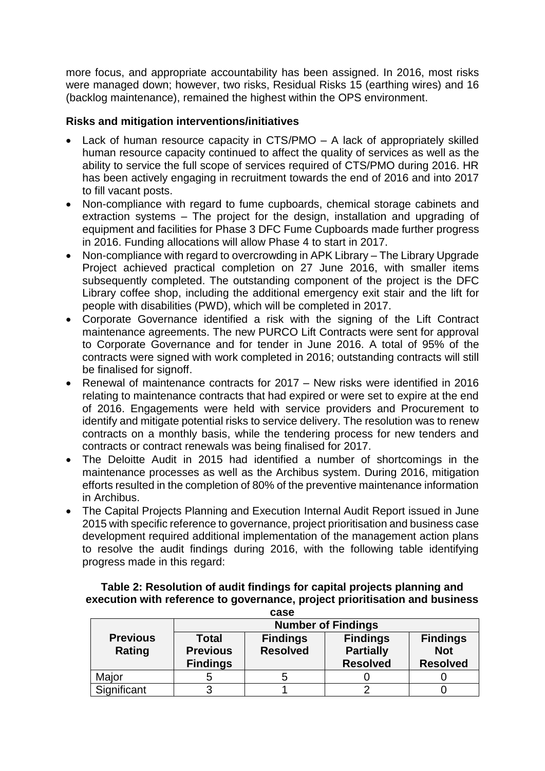more focus, and appropriate accountability has been assigned. In 2016, most risks were managed down; however, two risks, Residual Risks 15 (earthing wires) and 16 (backlog maintenance), remained the highest within the OPS environment.

# **Risks and mitigation interventions/initiatives**

- Lack of human resource capacity in CTS/PMO A lack of appropriately skilled human resource capacity continued to affect the quality of services as well as the ability to service the full scope of services required of CTS/PMO during 2016. HR has been actively engaging in recruitment towards the end of 2016 and into 2017 to fill vacant posts.
- Non-compliance with regard to fume cupboards, chemical storage cabinets and extraction systems – The project for the design, installation and upgrading of equipment and facilities for Phase 3 DFC Fume Cupboards made further progress in 2016. Funding allocations will allow Phase 4 to start in 2017.
- Non-compliance with regard to overcrowding in APK Library The Library Upgrade Project achieved practical completion on 27 June 2016, with smaller items subsequently completed. The outstanding component of the project is the DFC Library coffee shop, including the additional emergency exit stair and the lift for people with disabilities (PWD), which will be completed in 2017.
- Corporate Governance identified a risk with the signing of the Lift Contract maintenance agreements. The new PURCO Lift Contracts were sent for approval to Corporate Governance and for tender in June 2016. A total of 95% of the contracts were signed with work completed in 2016; outstanding contracts will still be finalised for signoff.
- Renewal of maintenance contracts for 2017 New risks were identified in 2016 relating to maintenance contracts that had expired or were set to expire at the end of 2016. Engagements were held with service providers and Procurement to identify and mitigate potential risks to service delivery. The resolution was to renew contracts on a monthly basis, while the tendering process for new tenders and contracts or contract renewals was being finalised for 2017.
- The Deloitte Audit in 2015 had identified a number of shortcomings in the maintenance processes as well as the Archibus system. During 2016, mitigation efforts resulted in the completion of 80% of the preventive maintenance information in Archibus.
- The Capital Projects Planning and Execution Internal Audit Report issued in June 2015 with specific reference to governance, project prioritisation and business case development required additional implementation of the management action plans to resolve the audit findings during 2016, with the following table identifying progress made in this regard:

# **Table 2: Resolution of audit findings for capital projects planning and execution with reference to governance, project prioritisation and business**

| case                      |                                                    |                                    |                                                        |                                                  |  |  |  |
|---------------------------|----------------------------------------------------|------------------------------------|--------------------------------------------------------|--------------------------------------------------|--|--|--|
|                           | <b>Number of Findings</b>                          |                                    |                                                        |                                                  |  |  |  |
| <b>Previous</b><br>Rating | <b>Total</b><br><b>Previous</b><br><b>Findings</b> | <b>Findings</b><br><b>Resolved</b> | <b>Findings</b><br><b>Partially</b><br><b>Resolved</b> | <b>Findings</b><br><b>Not</b><br><b>Resolved</b> |  |  |  |
| Major                     | b                                                  | b                                  |                                                        |                                                  |  |  |  |
| Significant               | 3                                                  |                                    |                                                        |                                                  |  |  |  |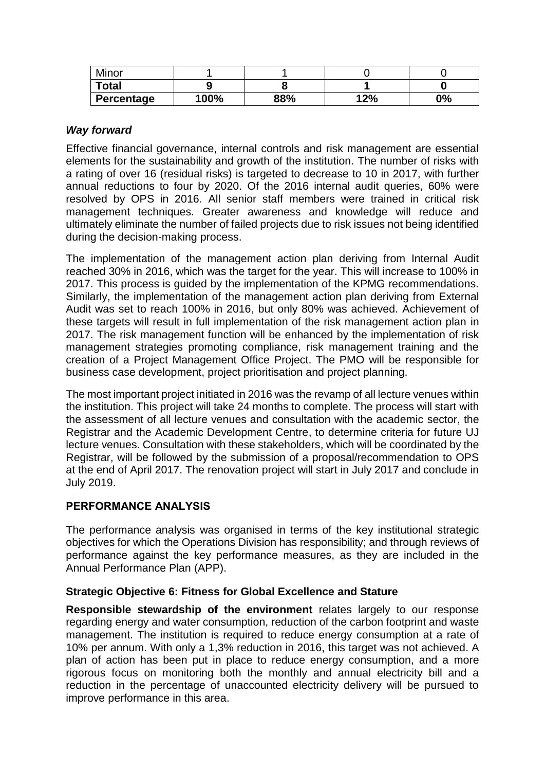| Minor        |                |     |               |    |
|--------------|----------------|-----|---------------|----|
| <b>Total</b> |                |     |               |    |
| Percentage   | $^{\circ}00\%$ | 88% | 1 つり/<br>Z 70 | 0% |

# *Way forward*

Effective financial governance, internal controls and risk management are essential elements for the sustainability and growth of the institution. The number of risks with a rating of over 16 (residual risks) is targeted to decrease to 10 in 2017, with further annual reductions to four by 2020. Of the 2016 internal audit queries, 60% were resolved by OPS in 2016. All senior staff members were trained in critical risk management techniques. Greater awareness and knowledge will reduce and ultimately eliminate the number of failed projects due to risk issues not being identified during the decision-making process.

The implementation of the management action plan deriving from Internal Audit reached 30% in 2016, which was the target for the year. This will increase to 100% in 2017. This process is guided by the implementation of the KPMG recommendations. Similarly, the implementation of the management action plan deriving from External Audit was set to reach 100% in 2016, but only 80% was achieved. Achievement of these targets will result in full implementation of the risk management action plan in 2017. The risk management function will be enhanced by the implementation of risk management strategies promoting compliance, risk management training and the creation of a Project Management Office Project. The PMO will be responsible for business case development, project prioritisation and project planning.

The most important project initiated in 2016 was the revamp of all lecture venues within the institution. This project will take 24 months to complete. The process will start with the assessment of all lecture venues and consultation with the academic sector, the Registrar and the Academic Development Centre, to determine criteria for future UJ lecture venues. Consultation with these stakeholders, which will be coordinated by the Registrar, will be followed by the submission of a proposal/recommendation to OPS at the end of April 2017. The renovation project will start in July 2017 and conclude in July 2019.

# **PERFORMANCE ANALYSIS**

The performance analysis was organised in terms of the key institutional strategic objectives for which the Operations Division has responsibility; and through reviews of performance against the key performance measures, as they are included in the Annual Performance Plan (APP).

#### **Strategic Objective 6: Fitness for Global Excellence and Stature**

**Responsible stewardship of the environment** relates largely to our response regarding energy and water consumption, reduction of the carbon footprint and waste management. The institution is required to reduce energy consumption at a rate of 10% per annum. With only a 1,3% reduction in 2016, this target was not achieved. A plan of action has been put in place to reduce energy consumption, and a more rigorous focus on monitoring both the monthly and annual electricity bill and a reduction in the percentage of unaccounted electricity delivery will be pursued to improve performance in this area.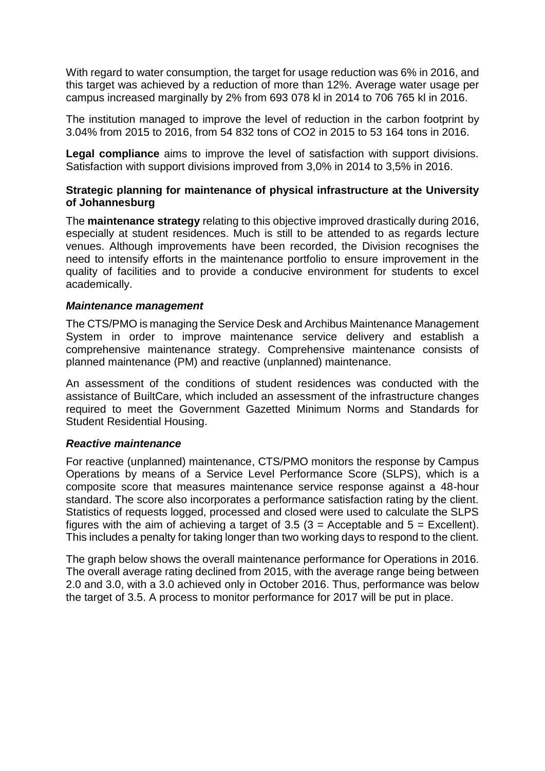With regard to water consumption, the target for usage reduction was 6% in 2016, and this target was achieved by a reduction of more than 12%. Average water usage per campus increased marginally by 2% from 693 078 kl in 2014 to 706 765 kl in 2016.

The institution managed to improve the level of reduction in the carbon footprint by 3.04% from 2015 to 2016, from 54 832 tons of CO2 in 2015 to 53 164 tons in 2016.

**Legal compliance** aims to improve the level of satisfaction with support divisions. Satisfaction with support divisions improved from 3,0% in 2014 to 3,5% in 2016.

#### **Strategic planning for maintenance of physical infrastructure at the University of Johannesburg**

The **maintenance strategy** relating to this objective improved drastically during 2016, especially at student residences. Much is still to be attended to as regards lecture venues. Although improvements have been recorded, the Division recognises the need to intensify efforts in the maintenance portfolio to ensure improvement in the quality of facilities and to provide a conducive environment for students to excel academically.

#### *Maintenance management*

The CTS/PMO is managing the Service Desk and Archibus Maintenance Management System in order to improve maintenance service delivery and establish a comprehensive maintenance strategy. Comprehensive maintenance consists of planned maintenance (PM) and reactive (unplanned) maintenance.

An assessment of the conditions of student residences was conducted with the assistance of BuiltCare, which included an assessment of the infrastructure changes required to meet the Government Gazetted Minimum Norms and Standards for Student Residential Housing.

#### *Reactive maintenance*

For reactive (unplanned) maintenance, CTS/PMO monitors the response by Campus Operations by means of a Service Level Performance Score (SLPS), which is a composite score that measures maintenance service response against a 48-hour standard. The score also incorporates a performance satisfaction rating by the client. Statistics of requests logged, processed and closed were used to calculate the SLPS figures with the aim of achieving a target of  $3.5$  (3 = Acceptable and  $5$  = Excellent). This includes a penalty for taking longer than two working days to respond to the client.

The graph below shows the overall maintenance performance for Operations in 2016. The overall average rating declined from 2015, with the average range being between 2.0 and 3.0, with a 3.0 achieved only in October 2016. Thus, performance was below the target of 3.5. A process to monitor performance for 2017 will be put in place.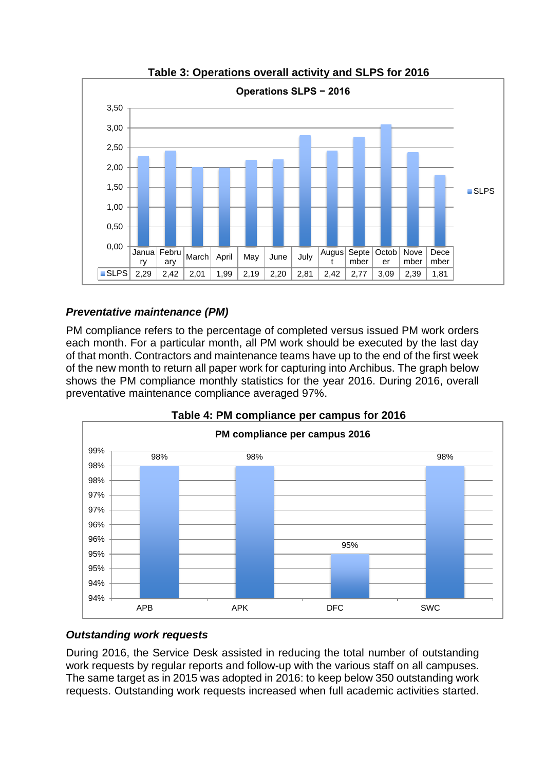

**Table 3: Operations overall activity and SLPS for 2016**

# *Preventative maintenance (PM)*

PM compliance refers to the percentage of completed versus issued PM work orders each month. For a particular month, all PM work should be executed by the last day of that month. Contractors and maintenance teams have up to the end of the first week of the new month to return all paper work for capturing into Archibus. The graph below shows the PM compliance monthly statistics for the year 2016. During 2016, overall preventative maintenance compliance averaged 97%.





# *Outstanding work requests*

During 2016, the Service Desk assisted in reducing the total number of outstanding work requests by regular reports and follow-up with the various staff on all campuses. The same target as in 2015 was adopted in 2016: to keep below 350 outstanding work requests. Outstanding work requests increased when full academic activities started.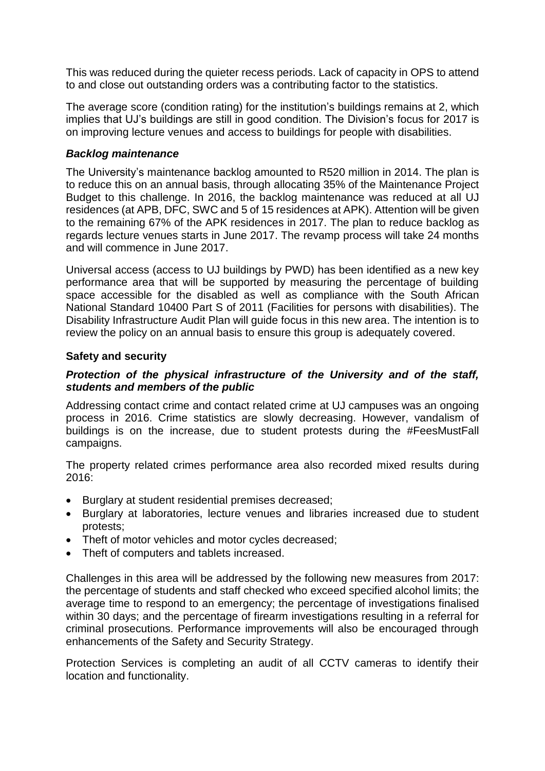This was reduced during the quieter recess periods. Lack of capacity in OPS to attend to and close out outstanding orders was a contributing factor to the statistics.

The average score (condition rating) for the institution's buildings remains at 2, which implies that UJ's buildings are still in good condition. The Division's focus for 2017 is on improving lecture venues and access to buildings for people with disabilities.

# *Backlog maintenance*

The University's maintenance backlog amounted to R520 million in 2014. The plan is to reduce this on an annual basis, through allocating 35% of the Maintenance Project Budget to this challenge. In 2016, the backlog maintenance was reduced at all UJ residences (at APB, DFC, SWC and 5 of 15 residences at APK). Attention will be given to the remaining 67% of the APK residences in 2017. The plan to reduce backlog as regards lecture venues starts in June 2017. The revamp process will take 24 months and will commence in June 2017.

Universal access (access to UJ buildings by PWD) has been identified as a new key performance area that will be supported by measuring the percentage of building space accessible for the disabled as well as compliance with the South African National Standard 10400 Part S of 2011 (Facilities for persons with disabilities). The Disability Infrastructure Audit Plan will guide focus in this new area. The intention is to review the policy on an annual basis to ensure this group is adequately covered.

# **Safety and security**

# *Protection of the physical infrastructure of the University and of the staff, students and members of the public*

Addressing contact crime and contact related crime at UJ campuses was an ongoing process in 2016. Crime statistics are slowly decreasing. However, vandalism of buildings is on the increase, due to student protests during the #FeesMustFall campaigns.

The property related crimes performance area also recorded mixed results during 2016:

- Burglary at student residential premises decreased;
- Burglary at laboratories, lecture venues and libraries increased due to student protests;
- Theft of motor vehicles and motor cycles decreased;
- Theft of computers and tablets increased.

Challenges in this area will be addressed by the following new measures from 2017: the percentage of students and staff checked who exceed specified alcohol limits; the average time to respond to an emergency; the percentage of investigations finalised within 30 days; and the percentage of firearm investigations resulting in a referral for criminal prosecutions. Performance improvements will also be encouraged through enhancements of the Safety and Security Strategy.

Protection Services is completing an audit of all CCTV cameras to identify their location and functionality.